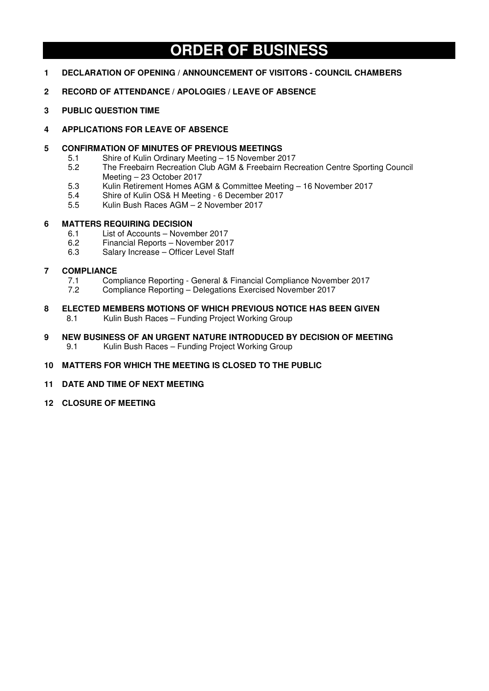# **ORDER OF BUSINESS**

- **1 DECLARATION OF OPENING / ANNOUNCEMENT OF VISITORS COUNCIL CHAMBERS**
- **2 RECORD OF ATTENDANCE / APOLOGIES / LEAVE OF ABSENCE**
- **3 PUBLIC QUESTION TIME**
- **4 APPLICATIONS FOR LEAVE OF ABSENCE**
- **5 CONFIRMATION OF MINUTES OF PREVIOUS MEETINGS** 
	- 5.1 Shire of Kulin Ordinary Meeting 15 November 2017<br>5.2 The Freebairn Recreation Club AGM & Freebairn Rec
	- 5.2 The Freebairn Recreation Club AGM & Freebairn Recreation Centre Sporting Council Meeting – 23 October 2017
	- 5.3 Kulin Retirement Homes AGM & Committee Meeting 16 November 2017
	- 5.4 Shire of Kulin OS& H Meeting 6 December 2017
	- 5.5 Kulin Bush Races AGM 2 November 2017

## **6 MATTERS REQUIRING DECISION**

- 6.1 List of Accounts November 2017<br>6.2 Financial Reports November 201
- 6.2 Financial Reports November 2017
- 6.3 Salary Increase Officer Level Staff

## **7 COMPLIANCE**

- 7.1 Compliance Reporting General & Financial Compliance November 2017
- 7.2 Compliance Reporting Delegations Exercised November 2017
- **8 ELECTED MEMBERS MOTIONS OF WHICH PREVIOUS NOTICE HAS BEEN GIVEN**  8.1 Kulin Bush Races – Funding Project Working Group
- **9 NEW BUSINESS OF AN URGENT NATURE INTRODUCED BY DECISION OF MEETING**  9.1 Kulin Bush Races – Funding Project Working Group
- **10 MATTERS FOR WHICH THE MEETING IS CLOSED TO THE PUBLIC**
- **11 DATE AND TIME OF NEXT MEETING**
- **12 CLOSURE OF MEETING**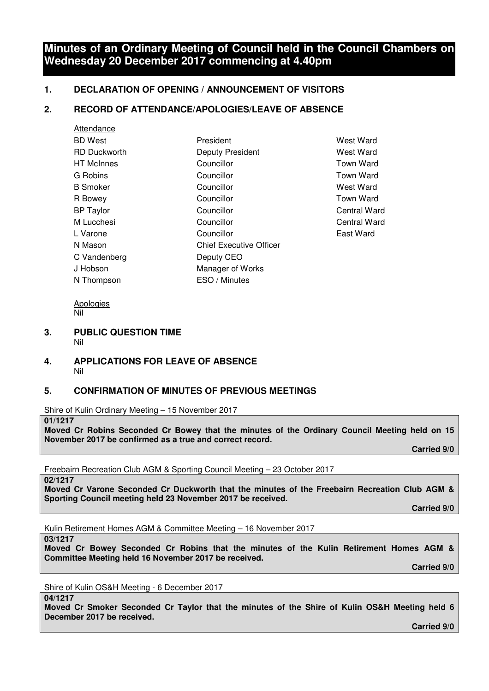# **Minutes of an Ordinary Meeting of Council held in the Council Chambers on Wednesday 20 December 2017 commencing at 4.40pm**

# **1. DECLARATION OF OPENING / ANNOUNCEMENT OF VISITORS**

# **2. RECORD OF ATTENDANCE/APOLOGIES/LEAVE OF ABSENCE**

| President                      | <b>West Ward</b> |
|--------------------------------|------------------|
| Deputy President               | <b>West Ward</b> |
| Councillor                     | <b>Town Ward</b> |
| Councillor                     | <b>Town Ward</b> |
| Councillor                     | <b>West Ward</b> |
| Councillor                     | <b>Town Ward</b> |
| Councillor                     | Central Wa       |
| Councillor                     | Central Wa       |
| Councillor                     | East Ward        |
| <b>Chief Executive Officer</b> |                  |
| Deputy CEO                     |                  |
| Manager of Works               |                  |
| ESO / Minutes                  |                  |
|                                |                  |

**West Ward** Town Ward Town Ward West Ward Town Ward Central Ward Central Ward

Apologies Nil

#### **3. PUBLIC QUESTION TIME**  Nil

## **4. APPLICATIONS FOR LEAVE OF ABSENCE**  Nil

# **5. CONFIRMATION OF MINUTES OF PREVIOUS MEETINGS**

Shire of Kulin Ordinary Meeting – 15 November 2017

## **01/1217**

**Moved Cr Robins Seconded Cr Bowey that the minutes of the Ordinary Council Meeting held on 15 November 2017 be confirmed as a true and correct record.** 

 **Carried 9/0** 

Freebairn Recreation Club AGM & Sporting Council Meeting – 23 October 2017

**02/1217** 

**Moved Cr Varone Seconded Cr Duckworth that the minutes of the Freebairn Recreation Club AGM & Sporting Council meeting held 23 November 2017 be received.** 

 **Carried 9/0** 

Kulin Retirement Homes AGM & Committee Meeting – 16 November 2017

**03/1217** 

**Moved Cr Bowey Seconded Cr Robins that the minutes of the Kulin Retirement Homes AGM & Committee Meeting held 16 November 2017 be received.** 

 **Carried 9/0** 

Shire of Kulin OS&H Meeting - 6 December 2017

**04/1217** 

**Moved Cr Smoker Seconded Cr Taylor that the minutes of the Shire of Kulin OS&H Meeting held 6 December 2017 be received.** 

 **Carried 9/0**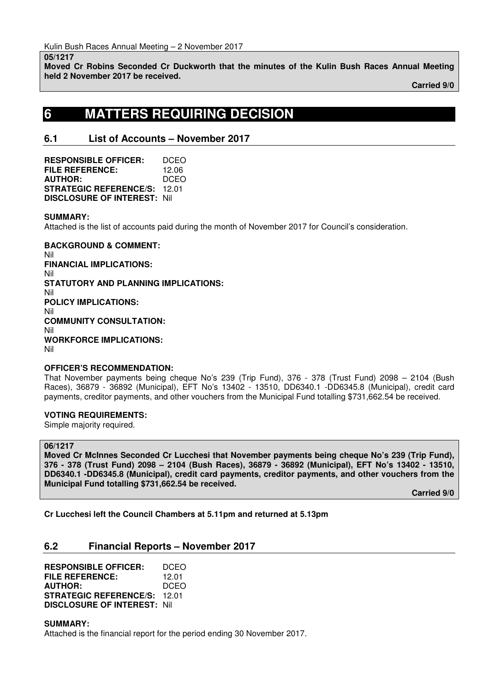#### **05/1217**

**Moved Cr Robins Seconded Cr Duckworth that the minutes of the Kulin Bush Races Annual Meeting held 2 November 2017 be received.** 

 **Carried 9/0** 

# **6 MATTERS REQUIRING DECISION**

# **6.1 List of Accounts – November 2017**

**RESPONSIBLE OFFICER:** DCEO **FILE REFERENCE:** 12.06 **AUTHOR:** DCEO **STRATEGIC REFERENCE/S:** 12.01 **DISCLOSURE OF INTEREST:** Nil

#### **SUMMARY:**

Attached is the list of accounts paid during the month of November 2017 for Council's consideration.

**BACKGROUND & COMMENT:**  Nil **FINANCIAL IMPLICATIONS:**  Nil **STATUTORY AND PLANNING IMPLICATIONS:**  Nil **POLICY IMPLICATIONS:**  Nil **COMMUNITY CONSULTATION:**  Nil **WORKFORCE IMPLICATIONS:**  Nil

### **OFFICER'S RECOMMENDATION:**

That November payments being cheque No's 239 (Trip Fund), 376 - 378 (Trust Fund) 2098 – 2104 (Bush Races), 36879 - 36892 (Municipal), EFT No's 13402 - 13510, DD6340.1 -DD6345.8 (Municipal), credit card payments, creditor payments, and other vouchers from the Municipal Fund totalling \$731,662.54 be received.

#### **VOTING REQUIREMENTS:**

Simple majority required.

### **06/1217**

**Moved Cr McInnes Seconded Cr Lucchesi that November payments being cheque No's 239 (Trip Fund), 376 - 378 (Trust Fund) 2098 – 2104 (Bush Races), 36879 - 36892 (Municipal), EFT No's 13402 - 13510, DD6340.1 -DD6345.8 (Municipal), credit card payments, creditor payments, and other vouchers from the Municipal Fund totalling \$731,662.54 be received.** 

 **Carried 9/0** 

**Cr Lucchesi left the Council Chambers at 5.11pm and returned at 5.13pm** 

# **6.2 Financial Reports – November 2017**

| <b>RESPONSIBLE OFFICER:</b>         | DCEO  |
|-------------------------------------|-------|
| <b>FILE REFERENCE:</b>              | 12.01 |
| <b>AUTHOR:</b>                      | DCEO  |
| <b>STRATEGIC REFERENCE/S:</b>       | 12.01 |
| <b>DISCLOSURE OF INTEREST: Nill</b> |       |

**SUMMARY:** 

Attached is the financial report for the period ending 30 November 2017.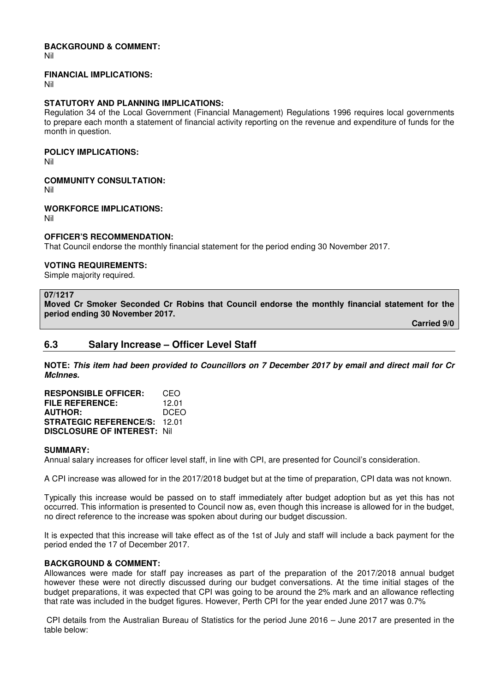### **BACKGROUND & COMMENT:**

Nil

#### **FINANCIAL IMPLICATIONS:**

Nil

### **STATUTORY AND PLANNING IMPLICATIONS:**

Regulation 34 of the Local Government (Financial Management) Regulations 1996 requires local governments to prepare each month a statement of financial activity reporting on the revenue and expenditure of funds for the month in question.

#### **POLICY IMPLICATIONS:**

Nil

### **COMMUNITY CONSULTATION:**

Nil

### **WORKFORCE IMPLICATIONS:**

Nil

### **OFFICER'S RECOMMENDATION:**

That Council endorse the monthly financial statement for the period ending 30 November 2017.

### **VOTING REQUIREMENTS:**

Simple majority required.

#### **07/1217**

**Moved Cr Smoker Seconded Cr Robins that Council endorse the monthly financial statement for the period ending 30 November 2017.** 

 **Carried 9/0** 

# **6.3 Salary Increase – Officer Level Staff**

**NOTE: This item had been provided to Councillors on 7 December 2017 by email and direct mail for Cr McInnes.** 

| <b>RESPONSIBLE OFFICER:</b>         | CEO   |
|-------------------------------------|-------|
| <b>FILE REFERENCE:</b>              | 12.01 |
| <b>AUTHOR:</b>                      | DCEO  |
| <b>STRATEGIC REFERENCE/S: 12.01</b> |       |
| <b>DISCLOSURE OF INTEREST: Nill</b> |       |

#### **SUMMARY:**

Annual salary increases for officer level staff, in line with CPI, are presented for Council's consideration.

A CPI increase was allowed for in the 2017/2018 budget but at the time of preparation, CPI data was not known.

Typically this increase would be passed on to staff immediately after budget adoption but as yet this has not occurred. This information is presented to Council now as, even though this increase is allowed for in the budget, no direct reference to the increase was spoken about during our budget discussion.

It is expected that this increase will take effect as of the 1st of July and staff will include a back payment for the period ended the 17 of December 2017.

### **BACKGROUND & COMMENT:**

Allowances were made for staff pay increases as part of the preparation of the 2017/2018 annual budget however these were not directly discussed during our budget conversations. At the time initial stages of the budget preparations, it was expected that CPI was going to be around the 2% mark and an allowance reflecting that rate was included in the budget figures. However, Perth CPI for the year ended June 2017 was 0.7%

 CPI details from the Australian Bureau of Statistics for the period June 2016 – June 2017 are presented in the table below: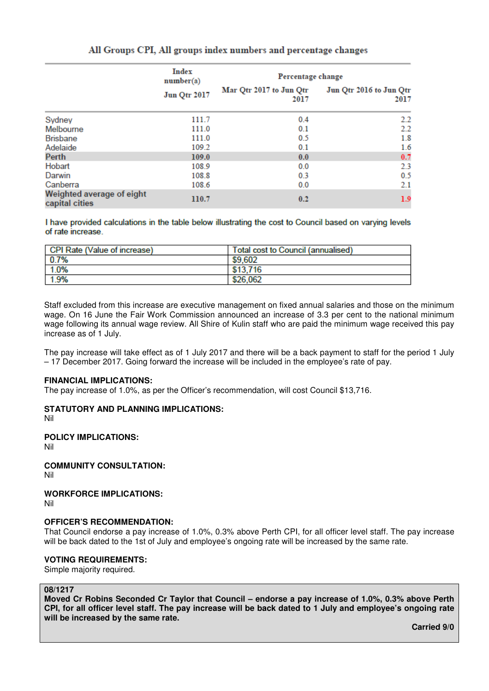|                                             | <b>Index</b><br>number(a)<br><b>Jun Qtr 2017</b> | Percentage change               |                                 |
|---------------------------------------------|--------------------------------------------------|---------------------------------|---------------------------------|
|                                             |                                                  | Mar Qtr 2017 to Jun Qtr<br>2017 | Jun Qtr 2016 to Jun Qtr<br>2017 |
| Sydney                                      | 111.7                                            | 0.4                             | 2.2                             |
| Melbourne                                   | 111.0                                            | 0.1                             | 2.2                             |
| <b>Brisbane</b>                             | 111.0                                            | 0.5                             | 1.8                             |
| Adelaide                                    | 109.2                                            | 0.1                             | 1.6                             |
| Perth                                       | 109.0                                            | 0.0                             | 0.7                             |
| Hobart                                      | 108.9                                            | 0.0                             | 2.3                             |
| Darwin                                      | 108.8                                            | 0.3                             | 0.5                             |
| Canberra                                    | 108.6                                            | 0.0                             | 2.1                             |
| Weighted average of eight<br>capital cities | 110.7                                            | 0.2                             | 1.9                             |

# All Groups CPI, All groups index numbers and percentage changes

I have provided calculations in the table below illustrating the cost to Council based on varying levels of rate increase

| <b>CPI Rate (Value of increase)</b> | Total cost to Council (annualised) |
|-------------------------------------|------------------------------------|
| 0.7%                                | \$9,602                            |
| 1.0%                                | \$13,716                           |
| 1.9%                                | \$26,062                           |

Staff excluded from this increase are executive management on fixed annual salaries and those on the minimum wage. On 16 June the Fair Work Commission announced an increase of 3.3 per cent to the national minimum wage following its annual wage review. All Shire of Kulin staff who are paid the minimum wage received this pay increase as of 1 July.

The pay increase will take effect as of 1 July 2017 and there will be a back payment to staff for the period 1 July – 17 December 2017. Going forward the increase will be included in the employee's rate of pay.

#### **FINANCIAL IMPLICATIONS:**

The pay increase of 1.0%, as per the Officer's recommendation, will cost Council \$13,716.

#### **STATUTORY AND PLANNING IMPLICATIONS:**

Nil

## **POLICY IMPLICATIONS:**

Nil

**COMMUNITY CONSULTATION:** 

Nil

# **WORKFORCE IMPLICATIONS:**

Nil

# **OFFICER'S RECOMMENDATION:**

That Council endorse a pay increase of 1.0%, 0.3% above Perth CPI, for all officer level staff. The pay increase will be back dated to the 1st of July and employee's ongoing rate will be increased by the same rate.

# **VOTING REQUIREMENTS:**

Simple majority required.

# **08/1217**

**Moved Cr Robins Seconded Cr Taylor that Council – endorse a pay increase of 1.0%, 0.3% above Perth CPI, for all officer level staff. The pay increase will be back dated to 1 July and employee's ongoing rate will be increased by the same rate.** 

**Carried 9/0**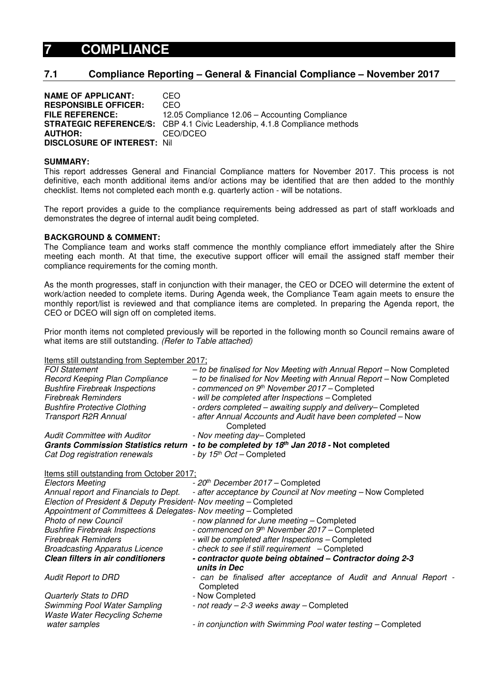# **7 COMPLIANCE**

# **7.1 Compliance Reporting – General & Financial Compliance – November 2017**

| <b>NAME OF APPLICANT:</b>           | CEO                                                                              |
|-------------------------------------|----------------------------------------------------------------------------------|
| <b>RESPONSIBLE OFFICER:</b>         | CEO                                                                              |
| <b>FILE REFERENCE:</b>              | 12.05 Compliance 12.06 - Accounting Compliance                                   |
|                                     | <b>STRATEGIC REFERENCE/S:</b> CBP 4.1 Civic Leadership, 4.1.8 Compliance methods |
| <b>AUTHOR:</b>                      | CEO/DCEO                                                                         |
| <b>DISCLOSURE OF INTEREST: Nill</b> |                                                                                  |

#### **SUMMARY:**

This report addresses General and Financial Compliance matters for November 2017. This process is not definitive, each month additional items and/or actions may be identified that are then added to the monthly checklist. Items not completed each month e.g. quarterly action - will be notations.

The report provides a guide to the compliance requirements being addressed as part of staff workloads and demonstrates the degree of internal audit being completed.

#### **BACKGROUND & COMMENT:**

The Compliance team and works staff commence the monthly compliance effort immediately after the Shire meeting each month. At that time, the executive support officer will email the assigned staff member their compliance requirements for the coming month.

As the month progresses, staff in conjunction with their manager, the CEO or DCEO will determine the extent of work/action needed to complete items. During Agenda week, the Compliance Team again meets to ensure the monthly report/list is reviewed and that compliance items are completed. In preparing the Agenda report, the CEO or DCEO will sign off on completed items.

Prior month items not completed previously will be reported in the following month so Council remains aware of what items are still outstanding. (Refer to Table attached)

Items still outstanding from September 2017;

| FOI Statement                                                       | - to be finalised for Nov Meeting with Annual Report - Now Completed          |
|---------------------------------------------------------------------|-------------------------------------------------------------------------------|
| Record Keeping Plan Compliance                                      | - to be finalised for Nov Meeting with Annual Report - Now Completed          |
| <b>Bushfire Firebreak Inspections</b>                               | - commenced on 9 <sup>th</sup> November 2017 - Completed                      |
| <b>Firebreak Reminders</b>                                          | - will be completed after Inspections - Completed                             |
| <b>Bushfire Protective Clothing</b>                                 | - orders completed - awaiting supply and delivery- Completed                  |
| Transport R2R Annual                                                | - after Annual Accounts and Audit have been completed - Now<br>Completed      |
| <b>Audit Committee with Auditor</b>                                 | - Nov meeting day-Completed                                                   |
| <b>Grants Commission Statistics return</b>                          | - to be completed by 18th Jan 2018 - Not completed                            |
| Cat Dog registration renewals                                       | - by 15 <sup>th</sup> Oct – Completed                                         |
| Items still outstanding from October 2017;                          |                                                                               |
| <b>Electors Meeting</b>                                             | - 20 <sup>th</sup> December 2017 - Completed                                  |
| Annual report and Financials to Dept.                               | - after acceptance by Council at Nov meeting - Now Completed                  |
| Election of President & Deputy President- Nov meeting - Completed   |                                                                               |
| Appointment of Committees & Delegates- Nov meeting - Completed      |                                                                               |
| <b>Photo of new Council</b>                                         | - now planned for June meeting - Completed                                    |
| <b>Bushfire Firebreak Inspections</b>                               | - commenced on 9th November 2017 - Completed                                  |
| Firebreak Reminders                                                 | - will be completed after Inspections - Completed                             |
| <b>Broadcasting Apparatus Licence</b>                               | - check to see if still requirement - Completed                               |
| <b>Clean filters in air conditioners</b>                            | - contractor quote being obtained - Contractor doing 2-3<br>units in Dec      |
| <b>Audit Report to DRD</b>                                          | - can be finalised after acceptance of Audit and Annual Report -<br>Completed |
| Quarterly Stats to DRD                                              | - Now Completed                                                               |
| Swimming Pool Water Sampling<br><b>Waste Water Recycling Scheme</b> | - not ready - 2-3 weeks away - Completed                                      |
| water samples                                                       | - in conjunction with Swimming Pool water testing - Completed                 |
|                                                                     |                                                                               |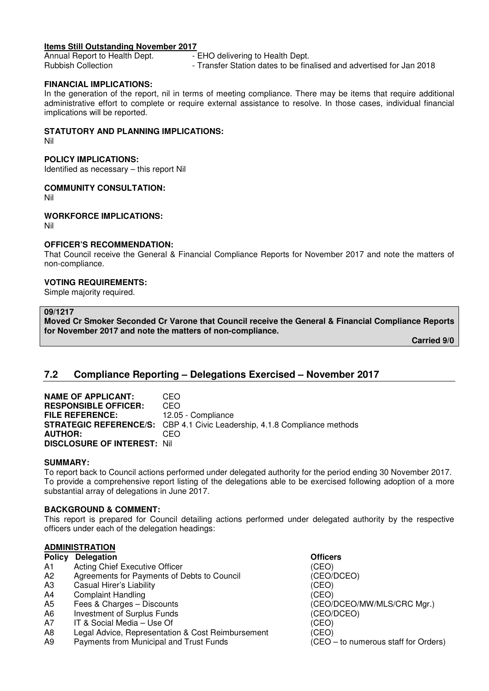#### **Items Still Outstanding November 2017**

Annual Report to Health Dept.<br>
Rubbish Collection<br>
Fransfer Station dates to be fin - Transfer Station dates to be finalised and advertised for Jan 2018

#### **FINANCIAL IMPLICATIONS:**

In the generation of the report, nil in terms of meeting compliance. There may be items that require additional administrative effort to complete or require external assistance to resolve. In those cases, individual financial implications will be reported.

#### **STATUTORY AND PLANNING IMPLICATIONS:**

Nil

## **POLICY IMPLICATIONS:**

Identified as necessary – this report Nil

#### **COMMUNITY CONSULTATION:**

Nil

#### **WORKFORCE IMPLICATIONS:**

Nil

### **OFFICER'S RECOMMENDATION:**

That Council receive the General & Financial Compliance Reports for November 2017 and note the matters of non-compliance.

### **VOTING REQUIREMENTS:**

Simple majority required.

#### **09/1217**

**Moved Cr Smoker Seconded Cr Varone that Council receive the General & Financial Compliance Reports for November 2017 and note the matters of non-compliance.** 

 **Carried 9/0** 

# **7.2 Compliance Reporting – Delegations Exercised – November 2017**

| <b>NAME OF APPLICANT:</b>           | CEO                                                                              |
|-------------------------------------|----------------------------------------------------------------------------------|
| <b>RESPONSIBLE OFFICER:</b>         | CEO                                                                              |
| <b>FILE REFERENCE:</b>              | 12.05 - Compliance                                                               |
|                                     | <b>STRATEGIC REFERENCE/S:</b> CBP 4.1 Civic Leadership, 4.1.8 Compliance methods |
| <b>AUTHOR:</b>                      | CEO                                                                              |
| <b>DISCLOSURE OF INTEREST: Nill</b> |                                                                                  |

#### **SUMMARY:**

To report back to Council actions performed under delegated authority for the period ending 30 November 2017. To provide a comprehensive report listing of the delegations able to be exercised following adoption of a more substantial array of delegations in June 2017.

### **BACKGROUND & COMMENT:**

This report is prepared for Council detailing actions performed under delegated authority by the respective officers under each of the delegation headings:

### **ADMINISTRATION**

- **Policy Delegation Community Community Policy Delegation**
- A<sub>1</sub> Acting Chief Executive Officer (CEO)
- A2 Agreements for Payments of Debts to Council (CEO/DCEO)
- A3 Casual Hirer's Liability (CEO)
- A4 Complaint Handling (CEO)
- 
- A6 Investment of Surplus Funds (CEO/DCEO)
- A7 IT & Social Media Use Of (CEO)
- A8 Legal Advice, Representation & Cost Reimbursement (CEO)
- A9 Payments from Municipal and Trust Funds (CEO to numerous staff for Orders)

A5 Fees & Charges – Discounts (CEO/DCEO/MW/MLS/CRC Mgr.)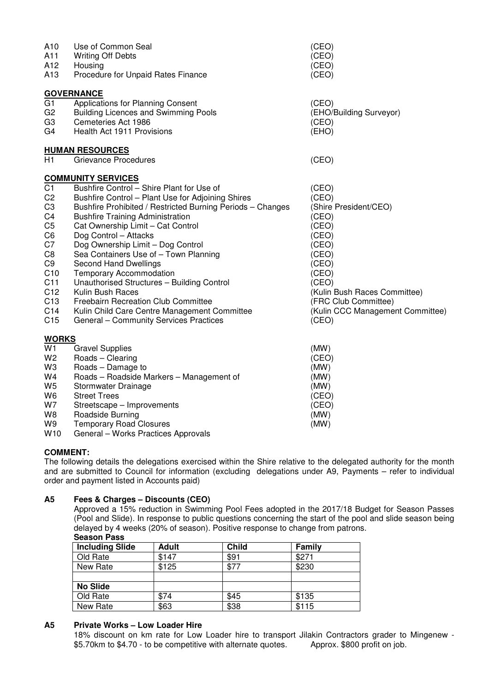| A10<br>A11<br>A12                                                                                                                                                                                                    | Use of Common Seal<br><b>Writing Off Debts</b><br>Housing                                                                                                                                                                                                                                                                                                                                                                                                                                                                                                                                                         | (CEO)<br>(CEO)<br>(CEO)                                                                                                                                                                                              |
|----------------------------------------------------------------------------------------------------------------------------------------------------------------------------------------------------------------------|-------------------------------------------------------------------------------------------------------------------------------------------------------------------------------------------------------------------------------------------------------------------------------------------------------------------------------------------------------------------------------------------------------------------------------------------------------------------------------------------------------------------------------------------------------------------------------------------------------------------|----------------------------------------------------------------------------------------------------------------------------------------------------------------------------------------------------------------------|
| A13                                                                                                                                                                                                                  | Procedure for Unpaid Rates Finance                                                                                                                                                                                                                                                                                                                                                                                                                                                                                                                                                                                | (CEO)                                                                                                                                                                                                                |
|                                                                                                                                                                                                                      | <b>GOVERNANCE</b>                                                                                                                                                                                                                                                                                                                                                                                                                                                                                                                                                                                                 |                                                                                                                                                                                                                      |
| G <sub>1</sub><br>G <sub>2</sub><br>G <sub>3</sub><br>G4                                                                                                                                                             | Applications for Planning Consent<br><b>Building Licences and Swimming Pools</b><br>Cemeteries Act 1986<br>Health Act 1911 Provisions                                                                                                                                                                                                                                                                                                                                                                                                                                                                             | (CEO)<br>(EHO/Building Surveyor)<br>(CEO)<br>(EHO)                                                                                                                                                                   |
|                                                                                                                                                                                                                      | <b>HUMAN RESOURCES</b>                                                                                                                                                                                                                                                                                                                                                                                                                                                                                                                                                                                            |                                                                                                                                                                                                                      |
| H1                                                                                                                                                                                                                   | Grievance Procedures                                                                                                                                                                                                                                                                                                                                                                                                                                                                                                                                                                                              | (CEO)                                                                                                                                                                                                                |
|                                                                                                                                                                                                                      | <b>COMMUNITY SERVICES</b>                                                                                                                                                                                                                                                                                                                                                                                                                                                                                                                                                                                         |                                                                                                                                                                                                                      |
| C <sub>1</sub><br>C <sub>2</sub><br>C <sub>3</sub><br>C <sub>4</sub><br>C <sub>5</sub><br>C <sub>6</sub><br>C7<br>C <sub>8</sub><br>C <sub>9</sub><br>C10<br>C11<br>C12<br>C <sub>13</sub><br>C14<br>C <sub>15</sub> | Bushfire Control - Shire Plant for Use of<br>Bushfire Control - Plant Use for Adjoining Shires<br>Bushfire Prohibited / Restricted Burning Periods - Changes<br><b>Bushfire Training Administration</b><br>Cat Ownership Limit - Cat Control<br>Dog Control - Attacks<br>Dog Ownership Limit - Dog Control<br>Sea Containers Use of - Town Planning<br>Second Hand Dwellings<br><b>Temporary Accommodation</b><br>Unauthorised Structures - Building Control<br>Kulin Bush Races<br>Freebairn Recreation Club Committee<br>Kulin Child Care Centre Management Committee<br>General - Community Services Practices | (CEO)<br>(CEO)<br>(Shire President/CEO)<br>(CEO)<br>(CEO)<br>(CEO)<br>(CEO)<br>(CEO)<br>(CEO)<br>(CEO)<br>(CEO)<br>(Kulin Bush Races Committee)<br>(FRC Club Committee)<br>(Kulin CCC Management Committee)<br>(CEO) |
| <b>WORKS</b>                                                                                                                                                                                                         |                                                                                                                                                                                                                                                                                                                                                                                                                                                                                                                                                                                                                   |                                                                                                                                                                                                                      |
| W1<br>W <sub>2</sub><br>W3<br>W4<br>W <sub>5</sub><br>W6<br>W7<br>W8<br>W9<br>W10                                                                                                                                    | <b>Gravel Supplies</b><br>Roads - Clearing<br>Roads - Damage to<br>Roads - Roadside Markers - Management of<br>Stormwater Drainage<br><b>Street Trees</b><br>Streetscape - Improvements<br>Roadside Burning<br><b>Temporary Road Closures</b><br>General - Works Practices Approvals                                                                                                                                                                                                                                                                                                                              | (MW)<br>(CEO)<br>(MW)<br>(MW)<br>(MW)<br>(CEO)<br>(CEO)<br>(MW)<br>(MW)                                                                                                                                              |

# **COMMENT:**

The following details the delegations exercised within the Shire relative to the delegated authority for the month and are submitted to Council for information (excluding delegations under A9, Payments – refer to individual order and payment listed in Accounts paid)

## **A5 Fees & Charges – Discounts (CEO)**

 Approved a 15% reduction in Swimming Pool Fees adopted in the 2017/18 Budget for Season Passes (Pool and Slide). In response to public questions concerning the start of the pool and slide season being delayed by 4 weeks (20% of season). Positive response to change from patrons.  **Season Pass** 

| <b>Including Slide</b> | Adult | <b>Child</b> | Family |
|------------------------|-------|--------------|--------|
| Old Rate               | \$147 | \$91         | \$271  |
| New Rate               | \$125 | \$77         | \$230  |
|                        |       |              |        |
| <b>No Slide</b>        |       |              |        |
| Old Rate               | \$74  | \$45         | \$135  |
| New Rate               | \$63  | \$38         | \$115  |

# **A5 Private Works – Low Loader Hire**

 18% discount on km rate for Low Loader hire to transport Jilakin Contractors grader to Mingenew - \$5.70km to \$4.70 - to be competitive with alternate quotes. Approx. \$800 profit on job.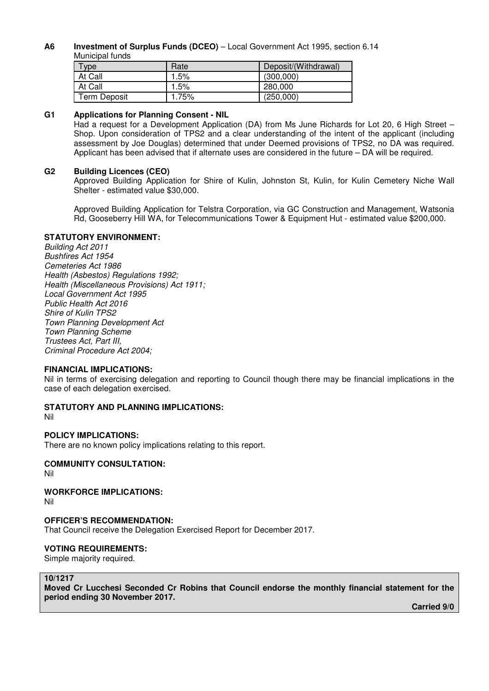#### **A6 Investment of Surplus Funds (DCEO)** – Local Government Act 1995, section 6.14 Municipal funds

| $T$ <sub>ype</sub> | Rate    | Deposit/(Withdrawal) |
|--------------------|---------|----------------------|
| At Call            | $1.5\%$ | (300,000)            |
| At Call            | 1.5%    | 280,000              |
| Term Deposit       | 1.75%   | (250,000)            |

## **G1 Applications for Planning Consent - NIL**

Had a request for a Development Application (DA) from Ms June Richards for Lot 20, 6 High Street – Shop. Upon consideration of TPS2 and a clear understanding of the intent of the applicant (including assessment by Joe Douglas) determined that under Deemed provisions of TPS2, no DA was required. Applicant has been advised that if alternate uses are considered in the future – DA will be required.

#### **G2 Building Licences (CEO)**

Approved Building Application for Shire of Kulin, Johnston St, Kulin, for Kulin Cemetery Niche Wall Shelter - estimated value \$30,000.

Approved Building Application for Telstra Corporation, via GC Construction and Management, Watsonia Rd, Gooseberry Hill WA, for Telecommunications Tower & Equipment Hut - estimated value \$200,000.

#### **STATUTORY ENVIRONMENT:**

Building Act 2011 Bushfires Act 1954 Cemeteries Act 1986 Health (Asbestos) Regulations 1992; Health (Miscellaneous Provisions) Act 1911; Local Government Act 1995 Public Health Act 2016 Shire of Kulin TPS2 Town Planning Development Act Town Planning Scheme Trustees Act, Part III, Criminal Procedure Act 2004;

#### **FINANCIAL IMPLICATIONS:**

Nil in terms of exercising delegation and reporting to Council though there may be financial implications in the case of each delegation exercised.

### **STATUTORY AND PLANNING IMPLICATIONS:**

Nil

### **POLICY IMPLICATIONS:**

There are no known policy implications relating to this report.

#### **COMMUNITY CONSULTATION:**  Nil

**WORKFORCE IMPLICATIONS:**  Nil

### **OFFICER'S RECOMMENDATION:**

That Council receive the Delegation Exercised Report for December 2017.

### **VOTING REQUIREMENTS:**

Simple majority required.

#### **10/1217**

**Moved Cr Lucchesi Seconded Cr Robins that Council endorse the monthly financial statement for the period ending 30 November 2017.** 

 **Carried 9/0**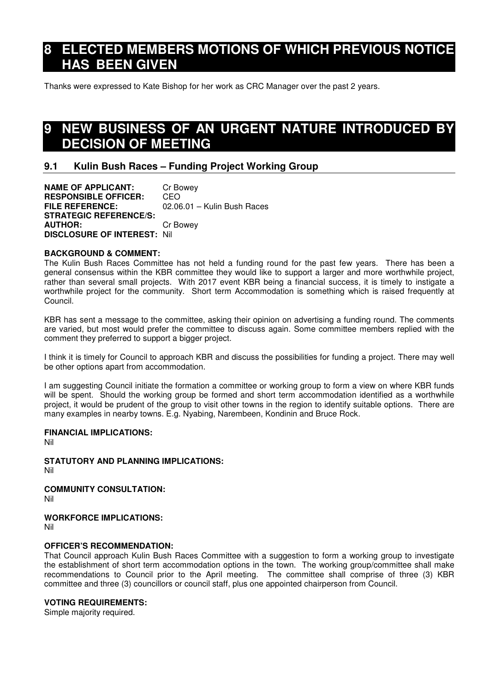# **8 ELECTED MEMBERS MOTIONS OF WHICH PREVIOUS NOTICE HAS BEEN GIVEN**

Thanks were expressed to Kate Bishop for her work as CRC Manager over the past 2 years.

# **9 NEW BUSINESS OF AN URGENT NATURE INTRODUCED BY DECISION OF MEETING**

# **9.1 Kulin Bush Races – Funding Project Working Group**

**NAME OF APPLICANT:** Cr Bowey **RESPONSIBLE OFFICER:** CEO **FILE REFERENCE:** 02.06.01 – Kulin Bush Races **STRATEGIC REFERENCE/S: AUTHOR:** Cr Bowey **DISCLOSURE OF INTEREST:** Nil

### **BACKGROUND & COMMENT:**

The Kulin Bush Races Committee has not held a funding round for the past few years. There has been a general consensus within the KBR committee they would like to support a larger and more worthwhile project, rather than several small projects. With 2017 event KBR being a financial success, it is timely to instigate a worthwhile project for the community. Short term Accommodation is something which is raised frequently at Council.

KBR has sent a message to the committee, asking their opinion on advertising a funding round. The comments are varied, but most would prefer the committee to discuss again. Some committee members replied with the comment they preferred to support a bigger project.

I think it is timely for Council to approach KBR and discuss the possibilities for funding a project. There may well be other options apart from accommodation.

I am suggesting Council initiate the formation a committee or working group to form a view on where KBR funds will be spent. Should the working group be formed and short term accommodation identified as a worthwhile project, it would be prudent of the group to visit other towns in the region to identify suitable options. There are many examples in nearby towns. E.g. Nyabing, Narembeen, Kondinin and Bruce Rock.

### **FINANCIAL IMPLICATIONS:**

Nil

**STATUTORY AND PLANNING IMPLICATIONS:** 

Nil

**COMMUNITY CONSULTATION:** 

Nil

## **WORKFORCE IMPLICATIONS:**

Nil

### **OFFICER'S RECOMMENDATION:**

That Council approach Kulin Bush Races Committee with a suggestion to form a working group to investigate the establishment of short term accommodation options in the town. The working group/committee shall make recommendations to Council prior to the April meeting. The committee shall comprise of three (3) KBR committee and three (3) councillors or council staff, plus one appointed chairperson from Council.

### **VOTING REQUIREMENTS:**

Simple majority required.